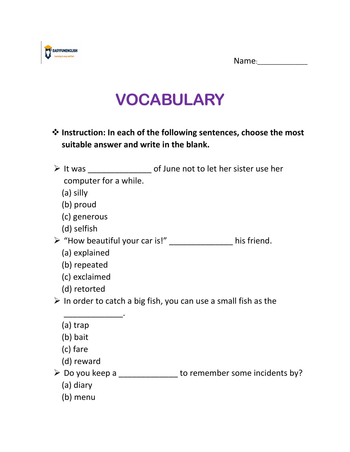Name:



## **VOCABULARY**

- ❖ **Instruction: In each of the following sentences, choose the most suitable answer and write in the blank.**
- ➢ It was \_\_\_\_\_\_\_\_\_\_\_\_\_\_ of June not to let her sister use her computer for a while.
	- (a) silly
	- (b) proud
	- (c) generous
	- (d) selfish

➢ "How beautiful your car is!" \_\_\_\_\_\_\_\_\_\_\_\_\_\_ his friend.

- (a) explained
- (b) repeated
- (c) exclaimed

 $\frac{1}{2}$  ,  $\frac{1}{2}$  ,  $\frac{1}{2}$  ,  $\frac{1}{2}$  ,  $\frac{1}{2}$  ,  $\frac{1}{2}$  ,  $\frac{1}{2}$  ,  $\frac{1}{2}$  ,  $\frac{1}{2}$ 

(d) retorted

 $\triangleright$  In order to catch a big fish, you can use a small fish as the

|  | (a) trap |
|--|----------|
|--|----------|

- (b) bait
- (c) fare
- (d) reward
- ➢ Do you keep a \_\_\_\_\_\_\_\_\_\_\_\_\_ to remember some incidents by?
	- (a) diary
	- (b) menu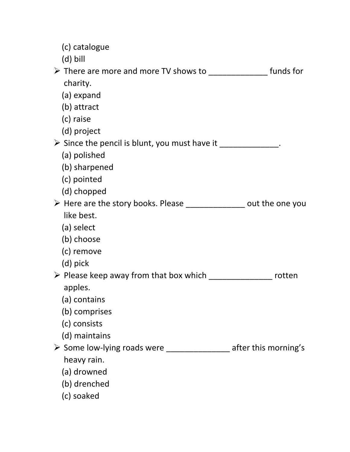| (c) catalogue                                                                   |                      |
|---------------------------------------------------------------------------------|----------------------|
| (d) bill                                                                        |                      |
| > There are more and more TV shows to _________________ funds for               |                      |
| charity.                                                                        |                      |
| (a) expand                                                                      |                      |
| (b) attract                                                                     |                      |
| (c) raise                                                                       |                      |
| (d) project                                                                     |                      |
| > Since the pencil is blunt, you must have it ______________.                   |                      |
| (a) polished                                                                    |                      |
| (b) sharpened                                                                   |                      |
| (c) pointed                                                                     |                      |
| (d) chopped                                                                     |                      |
| > Here are the story books. Please _______________ out the one you              |                      |
| like best.                                                                      |                      |
| (a) select                                                                      |                      |
| (b) choose                                                                      |                      |
| (c) remove                                                                      |                      |
| (d) pick                                                                        |                      |
| ▶ Please keep away from that box which ______________________ rotten<br>apples. |                      |
| (a) contains                                                                    |                      |
| (b) comprises                                                                   |                      |
| (c) consists                                                                    |                      |
| (d) maintains                                                                   |                      |
| $\triangleright$ Some low-lying roads were                                      | after this morning's |
| heavy rain.                                                                     |                      |
| (a) drowned                                                                     |                      |
| (b) drenched                                                                    |                      |
| (c) soaked                                                                      |                      |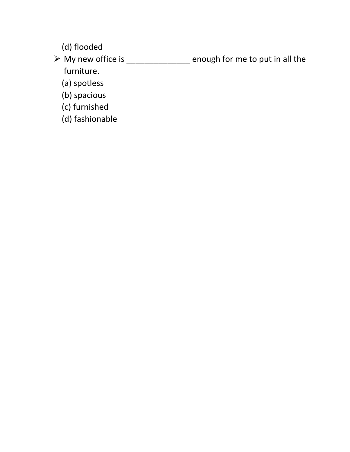(d) flooded

➢ My new office is \_\_\_\_\_\_\_\_\_\_\_\_\_\_ enough for me to put in all the furniture.

(a) spotless

(b) spacious

- (c) furnished
- (d) fashionable